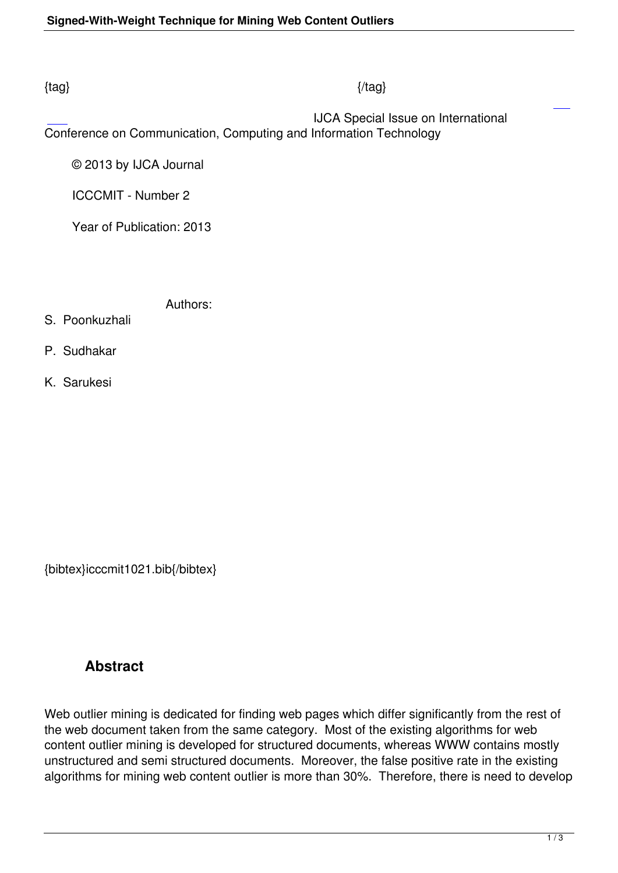#### $\{tag\}$

 IJCA Special Issue on International Conference on Communication, Computing and Information Technology

© 2013 by IJCA Journal

ICCCMIT - Number 2

Year of Publication: 2013

Authors:

- S. Poonkuzhali
- P. Sudhakar
- K. Sarukesi

{bibtex}icccmit1021.bib{/bibtex}

# **Abstract**

Web outlier mining is dedicated for finding web pages which differ significantly from the rest of the web document taken from the same category. Most of the existing algorithms for web content outlier mining is developed for structured documents, whereas WWW contains mostly unstructured and semi structured documents. Moreover, the false positive rate in the existing algorithms for mining web content outlier is more than 30%. Therefore, there is need to develop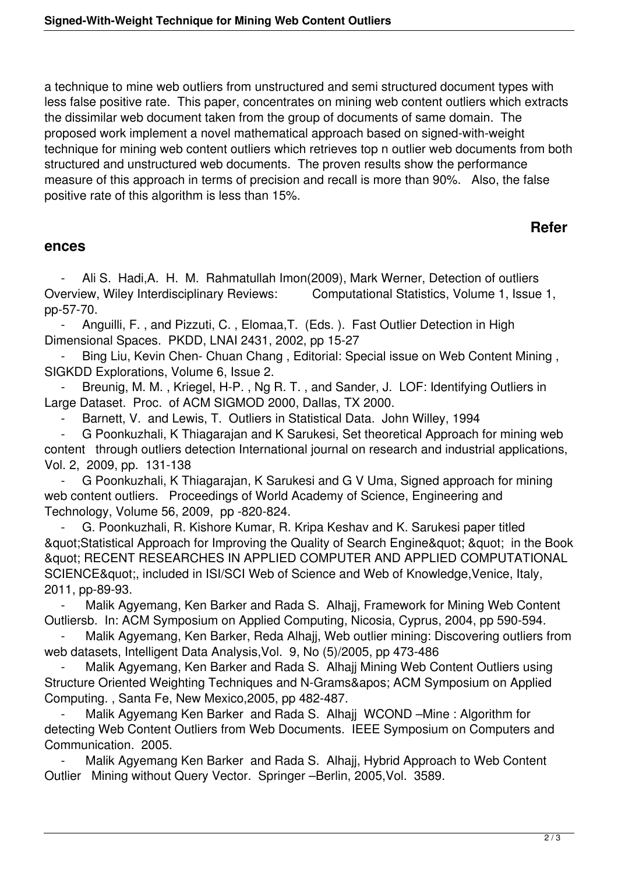a technique to mine web outliers from unstructured and semi structured document types with less false positive rate. This paper, concentrates on mining web content outliers which extracts the dissimilar web document taken from the group of documents of same domain. The proposed work implement a novel mathematical approach based on signed-with-weight technique for mining web content outliers which retrieves top n outlier web documents from both structured and unstructured web documents. The proven results show the performance measure of this approach in terms of precision and recall is more than 90%. Also, the false positive rate of this algorithm is less than 15%.

# **Refer**

#### **ences**

Ali S. Hadi, A. H. M. Rahmatullah Imon(2009), Mark Werner, Detection of outliers Overview, Wiley Interdisciplinary Reviews: Computational Statistics, Volume 1, Issue 1, pp-57-70.

Anguilli, F., and Pizzuti, C., Elomaa, T. (Eds.). Fast Outlier Detection in High Dimensional Spaces. PKDD, LNAI 2431, 2002, pp 15-27

Bing Liu, Kevin Chen- Chuan Chang, Editorial: Special issue on Web Content Mining, SIGKDD Explorations, Volume 6, Issue 2.

Breunig, M. M., Kriegel, H-P., Ng R. T., and Sander, J. LOF: Identifying Outliers in Large Dataset. Proc. of ACM SIGMOD 2000, Dallas, TX 2000.

Barnett, V. and Lewis, T. Outliers in Statistical Data. John Willey, 1994

 - G Poonkuzhali, K Thiagarajan and K Sarukesi, Set theoretical Approach for mining web content through outliers detection International journal on research and industrial applications, Vol. 2, 2009, pp. 131-138

 - G Poonkuzhali, K Thiagarajan, K Sarukesi and G V Uma, Signed approach for mining web content outliers. Proceedings of World Academy of Science, Engineering and Technology, Volume 56, 2009, pp -820-824.

 - G. Poonkuzhali, R. Kishore Kumar, R. Kripa Keshav and K. Sarukesi paper titled & auot; Statistical Approach for Improving the Quality of Search Engine & quot;  $\alpha$  auot; in the Book " RECENT RESEARCHES IN APPLIED COMPUTER AND APPLIED COMPUTATIONAL SCIENCE& quot:, included in ISI/SCI Web of Science and Web of Knowledge, Venice, Italy, 2011, pp-89-93.

Malik Agyemang, Ken Barker and Rada S. Alhajj, Framework for Mining Web Content Outliersb. In: ACM Symposium on Applied Computing, Nicosia, Cyprus, 2004, pp 590-594.

Malik Agyemang, Ken Barker, Reda Alhajj, Web outlier mining: Discovering outliers from web datasets, Intelligent Data Analysis,Vol. 9, No (5)/2005, pp 473-486

Malik Agyemang, Ken Barker and Rada S. Alhajj Mining Web Content Outliers using Structure Oriented Weighting Techniques and N-Grams' ACM Symposium on Applied Computing. , Santa Fe, New Mexico,2005, pp 482-487.

Malik Agyemang Ken Barker and Rada S. Alhajj WCOND - Mine: Algorithm for detecting Web Content Outliers from Web Documents. IEEE Symposium on Computers and Communication. 2005.

Malik Agyemang Ken Barker and Rada S. Alhajj, Hybrid Approach to Web Content Outlier Mining without Query Vector. Springer –Berlin, 2005,Vol. 3589.